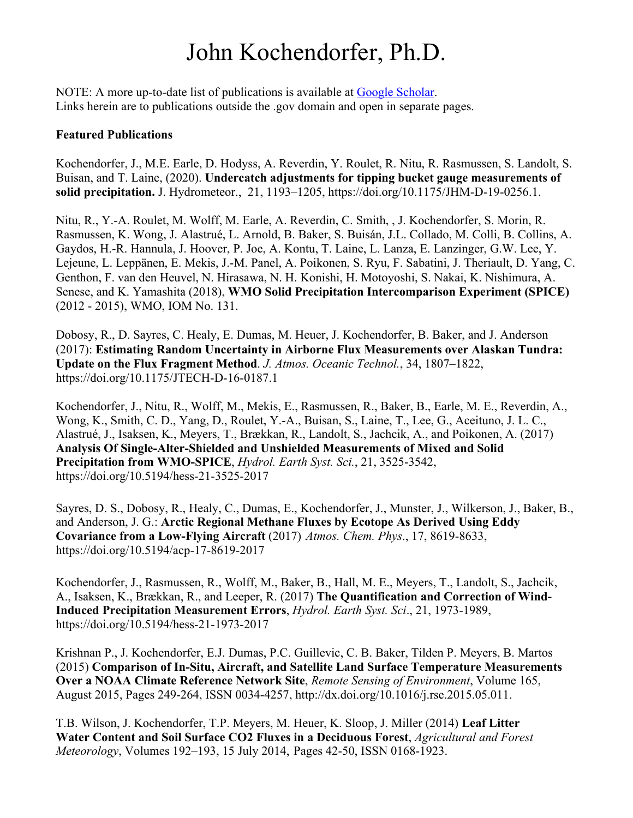## John Kochendorfer, Ph.D.

NOTE: A more up-to-date list of publications is available at Google Scholar. Links herein are to publications outside the .gov domain and open in separate pages.

## **Featured Publications**

Kochendorfer, J., M.E. Earle, D. Hodyss, A. Reverdin, Y. Roulet, R. Nitu, R. Rasmussen, S. Landolt, S. Buisan, and T. Laine, (2020). **Undercatch adjustments for tipping bucket gauge measurements of solid precipitation.** J. Hydrometeor., 21, 1193–1205, https://doi.org/10.1175/JHM-D-19-0256.1.

Nitu, R., Y.-A. Roulet, M. Wolff, M. Earle, A. Reverdin, C. Smith, , J. Kochendorfer, S. Morin, R. Rasmussen, K. Wong, J. Alastrué, L. Arnold, B. Baker, S. Buisán, J.L. Collado, M. Colli, B. Collins, A. Gaydos, H.-R. Hannula, J. Hoover, P. Joe, A. Kontu, T. Laine, L. Lanza, E. Lanzinger, G.W. Lee, Y. Lejeune, L. Leppänen, E. Mekis, J.-M. Panel, A. Poikonen, S. Ryu, F. Sabatini, J. Theriault, D. Yang, C. Genthon, F. van den Heuvel, N. Hirasawa, N. H. Konishi, H. Motoyoshi, S. Nakai, K. Nishimura, A. Senese, and K. Yamashita (2018), **WMO Solid Precipitation Intercomparison Experiment (SPICE)** (2012 - 2015), WMO, IOM No. 131.

Dobosy, R., D. Sayres, C. Healy, E. Dumas, M. Heuer, J. Kochendorfer, B. Baker, and J. Anderson (2017): **Estimating Random Uncertainty in Airborne Flux Measurements over Alaskan Tundra: Update on the Flux Fragment Method**. *J. Atmos. Oceanic Technol.*, 34, 1807–1822, https://doi.org/10.1175/JTECH-D-16-0187.1

Kochendorfer, J., Nitu, R., Wolff, M., Mekis, E., Rasmussen, R., Baker, B., Earle, M. E., Reverdin, A., Wong, K., Smith, C. D., Yang, D., Roulet, Y.-A., Buisan, S., Laine, T., Lee, G., Aceituno, J. L. C., Alastrué, J., Isaksen, K., Meyers, T., Brækkan, R., Landolt, S., Jachcik, A., and Poikonen, A. (2017) **Analysis Of Single-Alter-Shielded and Unshielded Measurements of Mixed and Solid Precipitation from WMO-SPICE**, *Hydrol. Earth Syst. Sci.*, 21, 3525-3542, https://doi.org/10.5194/hess-21-3525-2017

Sayres, D. S., Dobosy, R., Healy, C., Dumas, E., Kochendorfer, J., Munster, J., Wilkerson, J., Baker, B., and Anderson, J. G.: **Arctic Regional Methane Fluxes by Ecotope As Derived Using Eddy Covariance from a Low-Flying Aircraft** (2017) *Atmos. Chem. Phys*., 17, 8619-8633, https://doi.org/10.5194/acp-17-8619-2017

Kochendorfer, J., Rasmussen, R., Wolff, M., Baker, B., Hall, M. E., Meyers, T., Landolt, S., Jachcik, A., Isaksen, K., Brækkan, R., and Leeper, R. (2017) **The Quantification and Correction of Wind-Induced Precipitation Measurement Errors**, *Hydrol. Earth Syst. Sci*., 21, 1973-1989, https://doi.org/10.5194/hess-21-1973-2017

Krishnan P., J. Kochendorfer, E.J. Dumas, P.C. Guillevic, C. B. Baker, Tilden P. Meyers, B. Martos (2015) **Comparison of In-Situ, Aircraft, and Satellite Land Surface Temperature Measurements Over a NOAA Climate Reference Network Site**, *Remote Sensing of Environment*, Volume 165, August 2015, Pages 249-264, ISSN 0034-4257, http://dx.doi.org/10.1016/j.rse.2015.05.011.

T.B. Wilson, J. Kochendorfer, T.P. Meyers, M. Heuer, K. Sloop, J. Miller (2014) **Leaf Litter Water Content and Soil Surface CO2 Fluxes in a Deciduous Forest**, *Agricultural and Forest Meteorology*, Volumes 192–193, 15 July 2014, Pages 42-50, ISSN 0168-1923.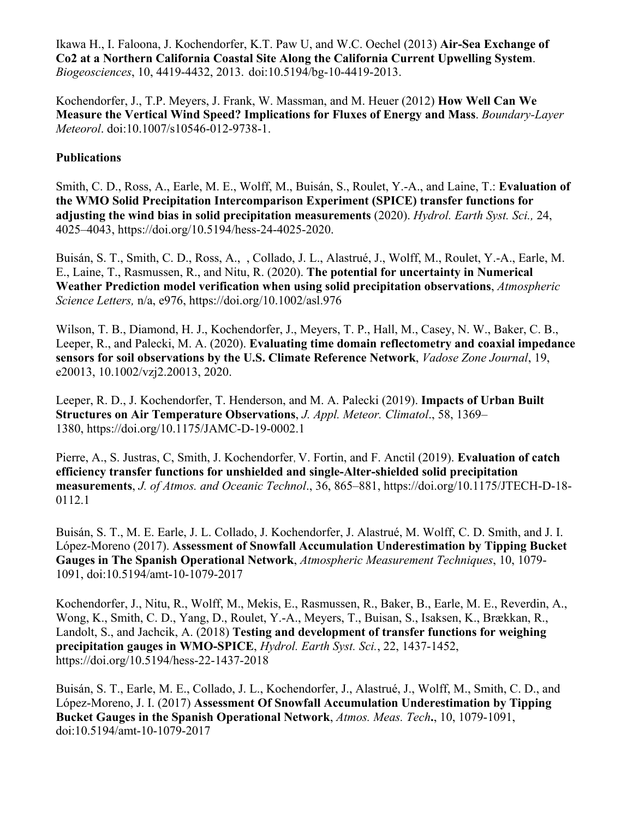Ikawa H., I. Faloona, J. Kochendorfer, K.T. Paw U, and W.C. Oechel (2013) **Air-Sea Exchange of Co2 at a Northern California Coastal Site Along the California Current Upwelling System**. *Biogeosciences*, 10, 4419-4432, 2013. doi:10.5194/bg-10-4419-2013.

Kochendorfer, J., T.P. Meyers, J. Frank, W. Massman, and M. Heuer (2012) **How Well Can We Measure the Vertical Wind Speed? Implications for Fluxes of Energy and Mass**. *Boundary-Layer Meteorol*. doi:10.1007/s10546-012-9738-1.

## **Publications**

Smith, C. D., Ross, A., Earle, M. E., Wolff, M., Buisán, S., Roulet, Y.-A., and Laine, T.: **Evaluation of the WMO Solid Precipitation Intercomparison Experiment (SPICE) transfer functions for adjusting the wind bias in solid precipitation measurements** (2020). *Hydrol. Earth Syst. Sci.,* 24, 4025–4043, https://doi.org/10.5194/hess-24-4025-2020.

Buisán, S. T., Smith, C. D., Ross, A., , Collado, J. L., Alastrué, J., Wolff, M., Roulet, Y.-A., Earle, M. E., Laine, T., Rasmussen, R., and Nitu, R. (2020). **The potential for uncertainty in Numerical Weather Prediction model verification when using solid precipitation observations**, *Atmospheric Science Letters,* n/a, e976, https://doi.org/10.1002/asl.976

Wilson, T. B., Diamond, H. J., Kochendorfer, J., Meyers, T. P., Hall, M., Casey, N. W., Baker, C. B., Leeper, R., and Palecki, M. A. (2020). **Evaluating time domain reflectometry and coaxial impedance sensors for soil observations by the U.S. Climate Reference Network**, *Vadose Zone Journal*, 19, e20013, 10.1002/vzj2.20013, 2020.

Leeper, R. D., J. Kochendorfer, T. Henderson, and M. A. Palecki (2019). **Impacts of Urban Built Structures on Air Temperature Observations**, *J. Appl. Meteor. Climatol*., 58, 1369– 1380, https://doi.org/10.1175/JAMC-D-19-0002.1

Pierre, A., S. Justras, C, Smith, J. Kochendorfer, V. Fortin, and F. Anctil (2019). **Evaluation of catch efficiency transfer functions for unshielded and single-Alter-shielded solid precipitation measurements**, *J. of Atmos. and Oceanic Technol*., 36, 865–881, https://doi.org/10.1175/JTECH-D-18- 0112.1

Buisán, S. T., M. E. Earle, J. L. Collado, J. Kochendorfer, J. Alastrué, M. Wolff, C. D. Smith, and J. I. López-Moreno (2017). **Assessment of Snowfall Accumulation Underestimation by Tipping Bucket Gauges in The Spanish Operational Network**, *Atmospheric Measurement Techniques*, 10, 1079- 1091, doi:10.5194/amt-10-1079-2017

Kochendorfer, J., Nitu, R., Wolff, M., Mekis, E., Rasmussen, R., Baker, B., Earle, M. E., Reverdin, A., Wong, K., Smith, C. D., Yang, D., Roulet, Y.-A., Meyers, T., Buisan, S., Isaksen, K., Brækkan, R., Landolt, S., and Jachcik, A. (2018) **Testing and development of transfer functions for weighing precipitation gauges in WMO-SPICE**, *Hydrol. Earth Syst. Sci.*, 22, 1437-1452, https://doi.org/10.5194/hess-22-1437-2018

Buisán, S. T., Earle, M. E., Collado, J. L., Kochendorfer, J., Alastrué, J., Wolff, M., Smith, C. D., and López-Moreno, J. I. (2017) **Assessment Of Snowfall Accumulation Underestimation by Tipping Bucket Gauges in the Spanish Operational Network**, *Atmos. Meas. Tech***.**, 10, 1079-1091, doi:10.5194/amt-10-1079-2017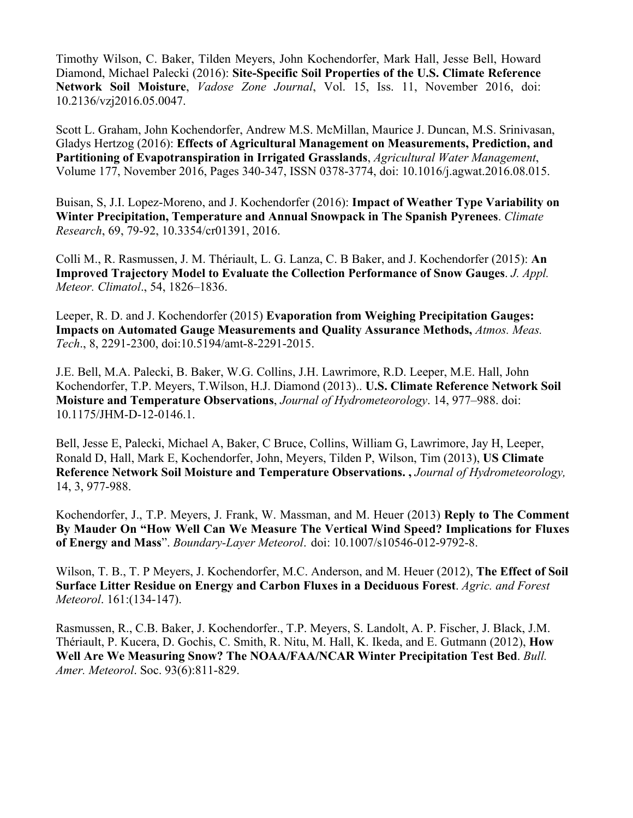Timothy Wilson, C. Baker, Tilden Meyers, John Kochendorfer, Mark Hall, Jesse Bell, Howard Diamond, Michael Palecki (2016): **Site-Specific Soil Properties of the U.S. Climate Reference Network Soil Moisture**, *Vadose Zone Journal*, Vol. 15, Iss. 11, November 2016, doi: 10.2136/vzj2016.05.0047.

Scott L. Graham, John Kochendorfer, Andrew M.S. McMillan, Maurice J. Duncan, M.S. Srinivasan, Gladys Hertzog (2016): **Effects of Agricultural Management on Measurements, Prediction, and Partitioning of Evapotranspiration in Irrigated Grasslands**, *Agricultural Water Management*, Volume 177, November 2016, Pages 340-347, ISSN 0378-3774, doi: 10.1016/j.agwat.2016.08.015.

Buisan, S, J.I. Lopez-Moreno, and J. Kochendorfer (2016): **Impact of Weather Type Variability on Winter Precipitation, Temperature and Annual Snowpack in The Spanish Pyrenees**. *Climate Research*, 69, 79-92, 10.3354/cr01391, 2016.

Colli M., R. Rasmussen, J. M. Thériault, L. G. Lanza, C. B Baker, and J. Kochendorfer (2015): **An Improved Trajectory Model to Evaluate the Collection Performance of Snow Gauges**. *J. Appl. Meteor. Climatol*., 54, 1826–1836.

Leeper, R. D. and J. Kochendorfer (2015) **Evaporation from Weighing Precipitation Gauges: Impacts on Automated Gauge Measurements and Quality Assurance Methods,** *Atmos. Meas. Tech*., 8, 2291-2300, doi:10.5194/amt-8-2291-2015.

J.E. Bell, M.A. Palecki, B. Baker, W.G. Collins, J.H. Lawrimore, R.D. Leeper, M.E. Hall, John Kochendorfer, T.P. Meyers, T.Wilson, H.J. Diamond (2013).. **U.S. Climate Reference Network Soil Moisture and Temperature Observations**, *Journal of Hydrometeorology*. 14, 977–988. doi: 10.1175/JHM-D-12-0146.1.

Bell, Jesse E, Palecki, Michael A, Baker, C Bruce, Collins, William G, Lawrimore, Jay H, Leeper, Ronald D, Hall, Mark E, Kochendorfer, John, Meyers, Tilden P, Wilson, Tim (2013), **US Climate Reference Network Soil Moisture and Temperature Observations. ,** *Journal of Hydrometeorology,*  14, 3, 977-988.

Kochendorfer, J., T.P. Meyers, J. Frank, W. Massman, and M. Heuer (2013) **Reply to The Comment By Mauder On "How Well Can We Measure The Vertical Wind Speed? Implications for Fluxes of Energy and Mass**". *Boundary-Layer Meteorol*. doi: 10.1007/s10546-012-9792-8.

Wilson, T. B., T. P Meyers, J. Kochendorfer, M.C. Anderson, and M. Heuer (2012), **The Effect of Soil Surface Litter Residue on Energy and Carbon Fluxes in a Deciduous Forest**. *Agric. and Forest Meteorol*. 161:(134-147).

Rasmussen, R., C.B. Baker, J. Kochendorfer., T.P. Meyers, S. Landolt, A. P. Fischer, J. Black, J.M. Thériault, P. Kucera, D. Gochis, C. Smith, R. Nitu, M. Hall, K. Ikeda, and E. Gutmann (2012), **How Well Are We Measuring Snow? The NOAA/FAA/NCAR Winter Precipitation Test Bed**. *Bull. Amer. Meteorol*. Soc. 93(6):811-829.